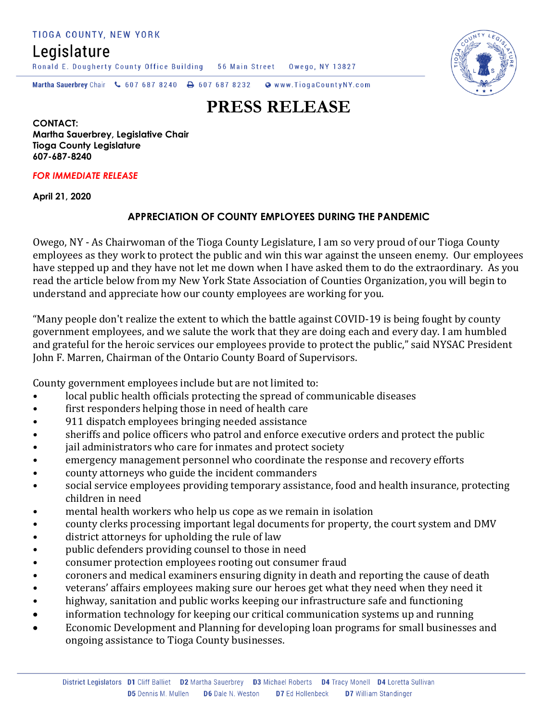TIOGA COUNTY, NEW YORK

Legislature

Ronald E. Dougherty County Office Building 56 Main Street Owego, NY 13827



Martha Sauerbrey Chair & 607 687 8240 & 607 687 8232 Www.TiogaCountyNY.com

# **PRESS RELEASE**

**CONTACT: Martha Sauerbrey, Legislative Chair Tioga County Legislature 607-687-8240**

#### *FOR IMMEDIATE RELEASE*

**April 21, 2020**

## **APPRECIATION OF COUNTY EMPLOYEES DURING THE PANDEMIC**

Owego, NY - As Chairwoman of the Tioga County Legislature, I am so very proud of our Tioga County employees as they work to protect the public and win this war against the unseen enemy. Our employees have stepped up and they have not let me down when I have asked them to do the extraordinary. As you read the article below from my New York State Association of Counties Organization, you will begin to understand and appreciate how our county employees are working for you.

"Many people don't realize the extent to which the battle against COVID-19 is being fought by county government employees, and we salute the work that they are doing each and every day. I am humbled and grateful for the heroic services our employees provide to protect the public," said NYSAC President John F. Marren, Chairman of the Ontario County Board of Supervisors.

County government employees include but are not limited to:

- local public health officials protecting the spread of communicable diseases
- first responders helping those in need of health care
- 911 dispatch employees bringing needed assistance
- sheriffs and police officers who patrol and enforce executive orders and protect the public
- **jail administrators who care for inmates and protect society**
- emergency management personnel who coordinate the response and recovery efforts
- county attorneys who guide the incident commanders
- social service employees providing temporary assistance, food and health insurance, protecting children in need
- mental health workers who help us cope as we remain in isolation
- county clerks processing important legal documents for property, the court system and DMV
- district attorneys for upholding the rule of law
- public defenders providing counsel to those in need
- consumer protection employees rooting out consumer fraud
- coroners and medical examiners ensuring dignity in death and reporting the cause of death
- veterans' affairs employees making sure our heroes get what they need when they need it
- highway, sanitation and public works keeping our infrastructure safe and functioning
- information technology for keeping our critical communication systems up and running
- Economic Development and Planning for developing loan programs for small businesses and ongoing assistance to Tioga County businesses.